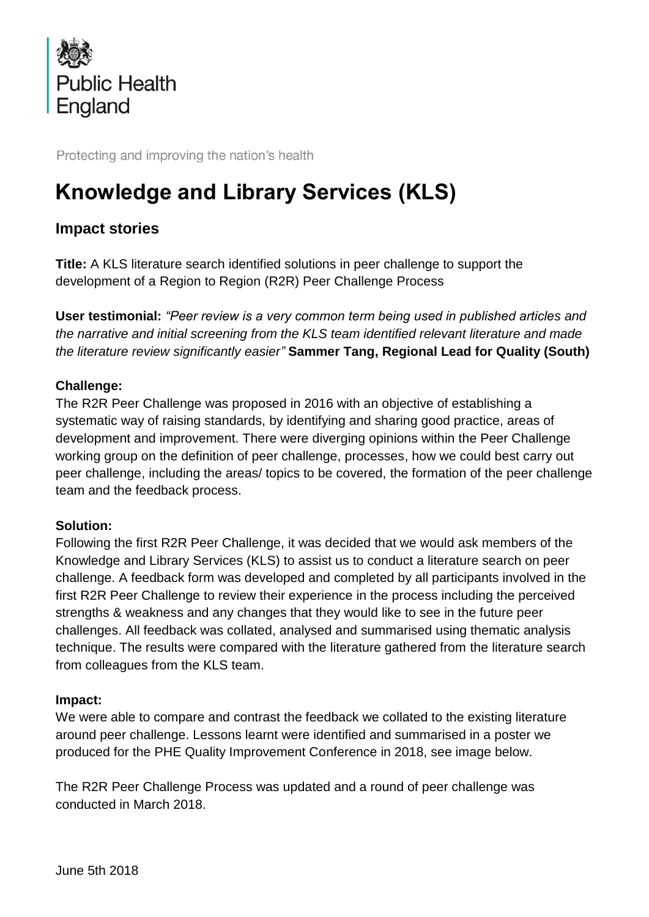

Protecting and improving the nation's health

# **Knowledge and Library Services (KLS)**

# **Impact stories**

**Title:** A KLS literature search identified solutions in peer challenge to support the development of a Region to Region (R2R) Peer Challenge Process

**User testimonial:** *"Peer review is a very common term being used in published articles and the narrative and initial screening from the KLS team identified relevant literature and made the literature review significantly easier"* **Sammer Tang, Regional Lead for Quality (South)**

## **Challenge:**

The R2R Peer Challenge was proposed in 2016 with an objective of establishing a systematic way of raising standards, by identifying and sharing good practice, areas of development and improvement. There were diverging opinions within the Peer Challenge working group on the definition of peer challenge, processes, how we could best carry out peer challenge, including the areas/ topics to be covered, the formation of the peer challenge team and the feedback process.

## **Solution:**

Following the first R2R Peer Challenge, it was decided that we would ask members of the Knowledge and Library Services (KLS) to assist us to conduct a literature search on peer challenge. A feedback form was developed and completed by all participants involved in the first R2R Peer Challenge to review their experience in the process including the perceived strengths & weakness and any changes that they would like to see in the future peer challenges. All feedback was collated, analysed and summarised using thematic analysis technique. The results were compared with the literature gathered from the literature search from colleagues from the KLS team.

## **Impact:**

We were able to compare and contrast the feedback we collated to the existing literature around peer challenge. Lessons learnt were identified and summarised in a poster we produced for the PHE Quality Improvement Conference in 2018, see image below.

The R2R Peer Challenge Process was updated and a round of peer challenge was conducted in March 2018.